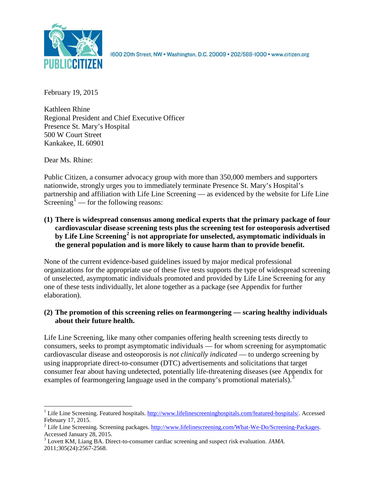

1600 20th Street, NW . Washington, D.C. 20009 . 202/588-1000 . www.citizen.org

February 19, 2015

Kathleen Rhine Regional President and Chief Executive Officer Presence St. Mary's Hospital 500 W Court Street Kankakee, IL 60901

Dear Ms. Rhine:

Public Citizen, a consumer advocacy group with more than 350,000 members and supporters nationwide, strongly urges you to immediately terminate Presence St. Mary's Hospital's partnership and affiliation with Life Line Screening — as evidenced by the website for Life Line Screening<sup>[1](#page-0-0)</sup> — for the following reasons:

**(1) There is widespread consensus among medical experts that the primary package of four cardiovascular disease screening tests plus the screening test for osteoporosis advertised by Life Line Screening[2](#page-0-1) is not appropriate for unselected, asymptomatic individuals in the general population and is more likely to cause harm than to provide benefit.**

None of the current evidence-based guidelines issued by major medical professional organizations for the appropriate use of these five tests supports the type of widespread screening of unselected, asymptomatic individuals promoted and provided by Life Line Screening for any one of these tests individually, let alone together as a package (see Appendix for further elaboration).

# **(2) The promotion of this screening relies on fearmongering — scaring healthy individuals about their future health.**

Life Line Screening, like many other companies offering health screening tests directly to consumers, seeks to prompt asymptomatic individuals — for whom screening for asymptomatic cardiovascular disease and osteoporosis is *not clinically indicated* — to undergo screening by using inappropriate direct-to-consumer (DTC) advertisements and solicitations that target consumer fear about having undetected, potentially life-threatening diseases (see Appendix for examples of fearmongering language used in the company's promotional materials).<sup>[3](#page-0-2)</sup>

<span id="page-0-0"></span><sup>&</sup>lt;sup>1</sup> Life Line Screening. Featured hospitals. [http://www.lifelinescreeninghospitals.com/featured-hospitals/.](http://www.lifelinescreeninghospitals.com/featured-hospitals/) Accessed

<span id="page-0-1"></span>February 17, 2015.<br><sup>2</sup> Life Line Screening. Screening packages. [http://www.lifelinescreening.com/What-We-Do/Screening-Packages.](http://www.lifelinescreening.com/What-We-Do/Screening-Packages)<br>Accessed January 28, 2015.

<span id="page-0-2"></span><sup>&</sup>lt;sup>3</sup> Lovett KM, Liang BA. Direct-to-consumer cardiac screening and suspect risk evaluation. *JAMA*. 2011;305(24):2567-2568.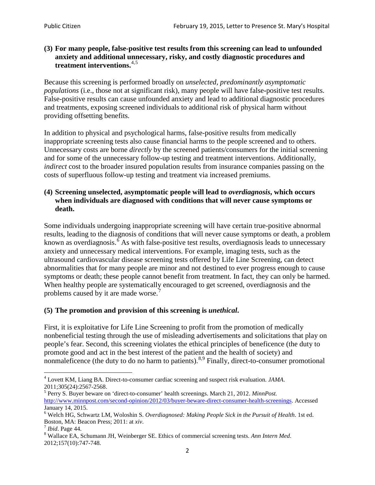### **(3) For many people, false-positive test results from this screening can lead to unfounded anxiety and additional unnecessary, risky, and costly diagnostic procedures and treatment interventions.**[4](#page-1-0),[5](#page-1-1)

Because this screening is performed broadly on *unselected, predominantly asymptomatic populations* (i.e., those not at significant risk), many people will have false**-**positive test results. False-positive results can cause unfounded anxiety and lead to additional diagnostic procedures and treatments, exposing screened individuals to additional risk of physical harm without providing offsetting benefits.

In addition to physical and psychological harms, false-positive results from medically inappropriate screening tests also cause financial harms to the people screened and to others. Unnecessary costs are borne *directly* by the screened patients/consumers for the initial screening and for some of the unnecessary follow-up testing and treatment interventions. Additionally, *indirect* cost to the broader insured population results from insurance companies passing on the costs of superfluous follow-up testing and treatment via increased premiums.

### **(4) Screening unselected, asymptomatic people will lead to** *overdiagnosis***, which occurs when individuals are diagnosed with conditions that will never cause symptoms or death.**

Some individuals undergoing inappropriate screening will have certain true-positive abnormal results, leading to the diagnosis of conditions that will never cause symptoms or death, a problem known as overdiagnosis.<sup>[6](#page-1-2)</sup> As with false-positive test results, overdiagnosis leads to unnecessary anxiety and unnecessary medical interventions. For example, imaging tests, such as the ultrasound cardiovascular disease screening tests offered by Life Line Screening, can detect abnormalities that for many people are minor and not destined to ever progress enough to cause symptoms or death; these people cannot benefit from treatment. In fact, they can only be harmed. When healthy people are systematically encouraged to get screened, overdiagnosis and the problems caused by it are made worse.<sup>[7](#page-1-3)</sup>

## **(5) The promotion and provision of this screening is** *unethical***.**

First, it is exploitative for Life Line Screening to profit from the promotion of medically nonbeneficial testing through the use of misleading advertisements and solicitations that play on people's fear. Second, this screening violates the ethical principles of beneficence (the duty to promote good and act in the best interest of the patient and the health of society) and nonmaleficence (the duty to do no harm to patients).  $8.9$  $8.9$  $8.9$  Finally, direct-to-consumer promotional

<span id="page-1-5"></span><span id="page-1-0"></span><sup>4</sup> Lovett KM, Liang BA. Direct-to-consumer cardiac screening and suspect risk evaluation. *JAMA*.

<span id="page-1-1"></span><sup>2011;305(24):2567-2568.</sup> <sup>5</sup> Perry S. Buyer beware on 'direct-to-consumer' health screenings. March 21, 2012. *MinnPost.*  [http://www.minnpost.com/second-opinion/2012/03/buyer-beware-direct-consumer-health-screenings.](http://www.minnpost.com/second-opinion/2012/03/buyer-beware-direct-consumer-health-screenings) Accessed January 14, 2015.

<span id="page-1-2"></span><sup>6</sup> Welch HG, Schwartz LM, Woloshin S. *Overdiagnosed: Making People Sick in the Pursuit of Health*. 1st ed. Boston, MA: Beacon Press; 2011: at *xiv*.<br><sup>7</sup> *Ibid*. Page 44.<br><sup>8</sup> Wallace EA, Schumann JH, Weinberger SE. Ethics of commercial screening tests. *Ann Intern Med*.

<span id="page-1-3"></span>

<span id="page-1-4"></span><sup>2012;157(10):747-748.</sup>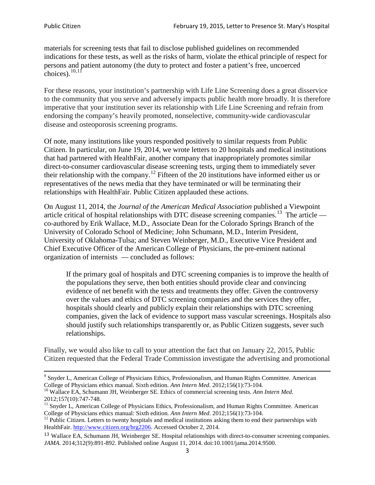materials for screening tests that fail to disclose published guidelines on recommended indications for these tests, as well as the risks of harm, violate the ethical principle of respect for persons and patient autonomy (the duty to protect and foster a patient's free, uncoerced choices). $\frac{10,11}{10,11}$  $\frac{10,11}{10,11}$  $\frac{10,11}{10,11}$  $\frac{10,11}{10,11}$ 

For these reasons, your institution's partnership with Life Line Screening does a great disservice to the community that you serve and adversely impacts public health more broadly. It is therefore imperative that your institution sever its relationship with Life Line Screening and refrain from endorsing the company's heavily promoted, nonselective, community**-**wide cardiovascular disease and osteoporosis screening programs.

Of note, many institutions like yours responded positively to similar requests from Public Citizen. In particular, on June 19, 2014, we wrote letters to 20 hospitals and medical institutions that had partnered with HealthFair, another company that inappropriately promotes similar direct-to-consumer cardiovascular disease screening tests, urging them to immediately sever their relationship with the company. [12](#page-2-2) Fifteen of the 20 institutions have informed either us or representatives of the news media that they have terminated or will be terminating their relationships with HealthFair. Public Citizen applauded these actions.

On August 11, 2014, the *Journal of the American Medical Association* published a Viewpoint article critical of hospital relationships with DTC disease screening companies.<sup>13</sup> The article co-authored by Erik Wallace, M.D., Associate Dean for the Colorado Springs Branch of the University of Colorado School of Medicine; John Schumann, M.D., Interim President, University of Oklahoma-Tulsa; and Steven Weinberger, M.D., Executive Vice President and Chief Executive Officer of the American College of Physicians, the pre**-**eminent national organization of internists — concluded as follows:

If the primary goal of hospitals and DTC screening companies is to improve the health of the populations they serve, then both entities should provide clear and convincing evidence of net benefit with the tests and treatments they offer. Given the controversy over the values and ethics of DTC screening companies and the services they offer, hospitals should clearly and publicly explain their relationships with DTC screening companies, given the lack of evidence to support mass vascular screenings. Hospitals also should justify such relationships transparently or, as Public Citizen suggests, sever such relationships.

Finally, we would also like to call to your attention the fact that on January 22, 2015, Public Citizen requested that the Federal Trade Commission investigate the advertising and promotional

<sup>&</sup>lt;sup>9</sup> Snyder L, American College of Physicians Ethics, Professionalism, and Human Rights Committee. American College of Physicians ethics manual. Sixth edition. Ann Intern Med. 2012;156(1):73-104.

<span id="page-2-0"></span><sup>&</sup>lt;sup>10</sup> Wallace EA, Schumann JH, Weinberger SE. Ethics of commercial screening tests. *Ann Intern Med*. 2012;157(10):747-748.

<span id="page-2-1"></span> $11$  Snyder L, American College of Physicians Ethics, Professionalism, and Human Rights Committee. American College of Physicians ethics manual: Sixth edition. *Ann Intern Med*. 2012;156(1):73-104.<br><sup>12</sup> Public Citizen. Letters to twenty hospitals and medical institutions asking them to end their partnerships with

<span id="page-2-2"></span>HealthFair. [http://www.citizen.org/hrg2206.](http://www.citizen.org/hrg2206) Accessed October 2, 2014.

<span id="page-2-3"></span><sup>13</sup> Wallace EA, Schumann JH, Weinberger SE. Hospital relationships with direct-to-consumer screening companies. *JAMA*. 2014;312(9):891-892. Published online August 11, 2014. doi:10.1001/jama.2014.9500.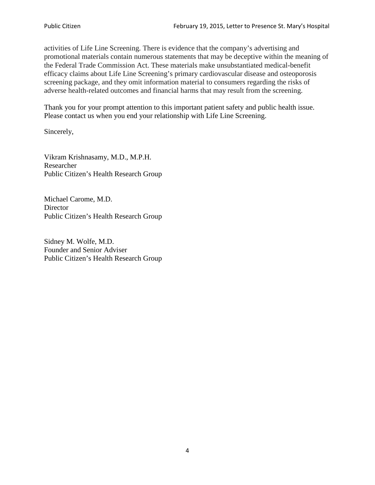activities of Life Line Screening. There is evidence that the company's advertising and promotional materials contain numerous statements that may be deceptive within the meaning of the Federal Trade Commission Act. These materials make unsubstantiated medical-benefit efficacy claims about Life Line Screening's primary cardiovascular disease and osteoporosis screening package, and they omit information material to consumers regarding the risks of adverse health-related outcomes and financial harms that may result from the screening.

Thank you for your prompt attention to this important patient safety and public health issue. Please contact us when you end your relationship with Life Line Screening.

Sincerely,

Vikram Krishnasamy, M.D., M.P.H. Researcher Public Citizen's Health Research Group

Michael Carome, M.D. **Director** Public Citizen's Health Research Group

Sidney M. Wolfe, M.D. Founder and Senior Adviser Public Citizen's Health Research Group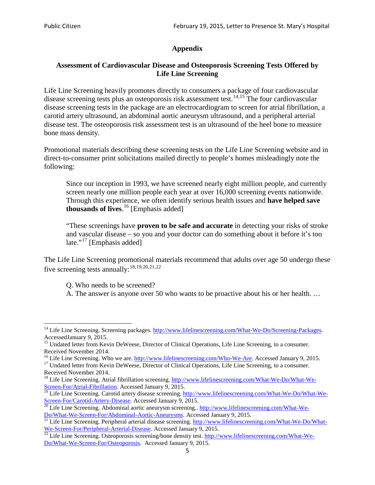# **Appendix**

### **Assessment of Cardiovascular Disease and Osteoporosis Screening Tests Offered by Life Line Screening**

Life Line Screening heavily promotes directly to consumers a package of four cardiovascular disease screening tests plus an osteoporosis risk assessment test.<sup>[14](#page-4-0),[15](#page-4-1)</sup> The four cardiovascular disease screening tests in the package are an electrocardiogram to screen for atrial fibrillation, a carotid artery ultrasound, an abdominal aortic aneurysm ultrasound, and a peripheral arterial disease test. The osteoporosis risk assessment test is an ultrasound of the heel bone to measure bone mass density.

Promotional materials describing these screening tests on the Life Line Screening website and in direct-to-consumer print solicitations mailed directly to people's homes misleadingly note the following:

Since our inception in 1993, we have screened nearly eight million people, and currently screen nearly one million people each year at over 16,000 screening events nationwide. Through this experience, we often identify serious health issues and **have helped save thousands of lives**. [16](#page-4-2) [Emphasis added]

"These screenings have **proven to be safe and accurate** in detecting your risks of stroke and vascular disease – so you and your doctor can do something about it before it's too late."<sup>[17](#page-4-3)</sup> [Emphasis added]

The Life Line Screening promotional materials recommend that adults over age 50 undergo these five screening tests annually:<sup>[18](#page-4-4),[19,](#page-4-5)[20,](#page-4-6)[21](#page-4-7),[22](#page-4-8)</sup>

Q. Who needs to be screened?

A. The answer is anyone over 50 who wants to be proactive about his or her health. …

Received November 2014.<br><sup>16</sup> Life Line Screening. Who we are. http://www.lifelinescreening.com/Who-We-Are. Accessed January 9, 2015.

<span id="page-4-3"></span><span id="page-4-2"></span><sup>17</sup> Undated letter from Kevin DeWeese, Director of Clinical Operations, Life Line Screening, to a consumer. Received November 2014.

<span id="page-4-0"></span><sup>&</sup>lt;sup>14</sup> Life Line Screening. Screening packages. [http://www.lifelinescreening.com/What-We-Do/Screening-Packages.](http://www.lifelinescreening.com/What-We-Do/Screening-Packages) AccessedJanuary 9, 2015.

<span id="page-4-1"></span><sup>&</sup>lt;sup>15</sup> Undated letter from Kevin DeWeese, Director of Clinical Operations, Life Line Screening, to a consumer.

<span id="page-4-4"></span><sup>&</sup>lt;sup>18</sup> Life Line Screening. Atrial fibrillation screening. [http://www.lifelinescreening.com/What-We-Do/What-We-](http://www.lifelinescreening.com/What-We-Do/What-We-Screen-For/Atrial-Fibrillation)[Screen-For/Atrial-Fibrillation.](http://www.lifelinescreening.com/What-We-Do/What-We-Screen-For/Atrial-Fibrillation) Accessed January 9, 2015.

<sup>&</sup>lt;sup>19</sup> Life Line Screening. Carotid artery disease screening. [http://www.lifelinescreening.com/What-We-Do/What-We-](http://www.lifelinescreening.com/What-We-Do/What-We-Screen-For/Carotid-Artery-Disease)

<span id="page-4-6"></span><span id="page-4-5"></span>[Screen-For/Carotid-Artery-Disease.](http://www.lifelinescreening.com/What-We-Do/What-We-Screen-For/Carotid-Artery-Disease) Accessed January 9, 2015.<br><sup>20</sup> Life Line Screening. Abdominal aortic aneurysm screening.. http://www.lifelinescreening.com/What-We-Do/What-We-Do/What-We-Screen-For/Abdominal-Aortic-Aneury

<span id="page-4-7"></span><sup>&</sup>lt;sup>21</sup> Life Line Screening. Peripheral arterial disease screening. [http://www.lifelinescreening.com/What-We-Do/What-](http://www.lifelinescreening.com/What-We-Do/What-We-Screen-For/Peripheral-Arterial-Disease)

<span id="page-4-8"></span>[We-Screen-For/Peripheral-Arterial-Disease.](http://www.lifelinescreening.com/What-We-Do/What-We-Screen-For/Peripheral-Arterial-Disease) Accessed January 9, 2015.<br><sup>22</sup> Life Line Screening. Osteoporosis screening/bone density test. [http://www.lifelinescreening.com/What-We-](http://www.lifelinescreening.com/What-We-Do/What-We-Screen-For/Osteoporosis)[Do/What-We-Screen-For/Osteoporosis.](http://www.lifelinescreening.com/What-We-Do/What-We-Screen-For/Osteoporosis) Accessed January 9, 2015.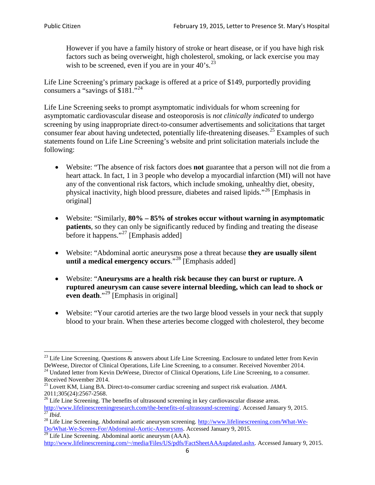However if you have a family history of stroke or heart disease, or if you have high risk factors such as being overweight, high cholesterol, smoking, or lack exercise you may wish to be screened, even if you are in your  $40^\circ$ s.<sup>[23](#page-5-0)</sup>

Life Line Screening's primary package is offered at a price of \$149, purportedly providing consumers a "savings of \$181."<sup>[24](#page-5-1)</sup>

Life Line Screening seeks to prompt asymptomatic individuals for whom screening for asymptomatic cardiovascular disease and osteoporosis is *not clinically indicated* to undergo screening by using inappropriate direct-to-consumer advertisements and solicitations that target consumer fear about having undetected, potentially life-threatening diseases.<sup>[25](#page-5-2)</sup> Examples of such statements found on Life Line Screening's website and print solicitation materials include the following:

- Website: "The absence of risk factors does **not** guarantee that a person will not die from a heart attack. In fact, 1 in 3 people who develop a myocardial infarction (MI) will not have any of the conventional risk factors, which include smoking, unhealthy diet, obesity, physical inactivity, high blood pressure, diabetes and raised lipids."[26](#page-5-3) [Emphasis in original]
- Website: "Similarly, **80% – 85% of strokes occur without warning in asymptomatic patients**, so they can only be significantly reduced by finding and treating the disease before it happens."<sup>[27](#page-5-4)</sup> [Emphasis added]
- Website: "Abdominal aortic aneurysms pose a threat because **they are usually silent until a medical emergency occurs**."[28](#page-5-5) [Emphasis added]
- Website: "**Aneurysms are a health risk because they can burst or rupture. A ruptured aneurysm can cause severe internal bleeding, which can lead to shock or even death.**"<sup>[29](#page-5-6)</sup> [Emphasis in original]
- Website: "Your carotid arteries are the two large blood vessels in your neck that supply blood to your brain. When these arteries become clogged with cholesterol, they become

<span id="page-5-0"></span><sup>&</sup>lt;sup>23</sup> Life Line Screening. Questions  $\&$  answers about Life Line Screening. Enclosure to undated letter from Kevin DeWeese, Director of Clinical Operations, Life Line Screening, to a consumer. Received November 2014.

<span id="page-5-1"></span><sup>&</sup>lt;sup>24</sup> Undated letter from Kevin DeWeese, Director of Clinical Operations, Life Line Screening, to a consumer. Received November 2014.

<span id="page-5-2"></span><sup>25</sup> Lovett KM, Liang BA. Direct-to-consumer cardiac screening and suspect risk evaluation. *JAMA*.  $2011;305(24):2567-2568$ .<br><sup>26</sup> Life Line Screening. The benefits of ultrasound screening in key cardiovascular disease areas.

<span id="page-5-3"></span>[http://www.lifelinescreeningresearch.com/the-benefits-of-ultrasound-screening/.](http://www.lifelinescreeningresearch.com/the-benefits-of-ultrasound-screening/) Accessed January 9, 2015.<br><sup>28</sup> Life Line Screening. Abdominal aortic aneurysm screening. http://www.lifelinescreening.com/What-We-<sup>28</sup>

<span id="page-5-5"></span><span id="page-5-4"></span>[Do/What-We-Screen-For/Abdominal-Aortic-Aneurysms.](http://www.lifelinescreening.com/What-We-Do/What-We-Screen-For/Abdominal-Aortic-Aneurysms) Accessed January 9, 2015. <sup>29</sup> Life Line Screening. Abdominal aortic aneurysm (AAA).

<span id="page-5-6"></span>[http://www.lifelinescreening.com/~/media/Files/US/pdfs/FactSheetAAAupdated.ashx.](http://www.lifelinescreening.com/~/media/Files/US/pdfs/FactSheetAAAupdated.ashx) Accessed January 9, 2015.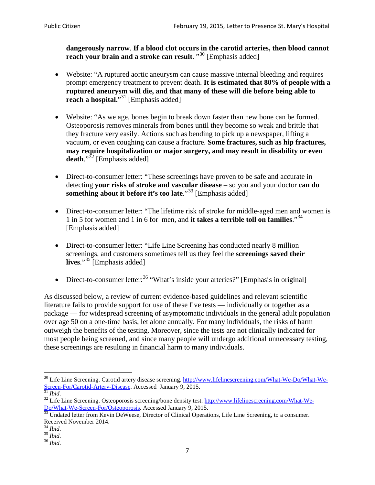**dangerously narrow**. **If a blood clot occurs in the carotid arteries, then blood cannot reach your brain and a stroke can result**. "<sup>[30](#page-6-0)</sup> [Emphasis added]

- Website: "A ruptured aortic aneurysm can cause massive internal bleeding and requires prompt emergency treatment to prevent death. **It is estimated that 80% of people with a ruptured aneurysm will die, and that many of these will die before being able to reach a hospital.**"<sup>[31](#page-6-1)</sup> [Emphasis added]
- Website: "As we age, bones begin to break down faster than new bone can be formed. Osteoporosis removes minerals from bones until they become so weak and brittle that they fracture very easily. Actions such as bending to pick up a newspaper, lifting a vacuum, or even coughing can cause a fracture. **Some fractures, such as hip fractures, may require hospitalization or major surgery, and may result in disability or even**  death."<sup>[32](#page-6-2)</sup> [Emphasis added]
- Direct-to-consumer letter: "These screenings have proven to be safe and accurate in detecting **your risks of stroke and vascular disease** – so you and your doctor **can do something about it before it's too late**."<sup>[33](#page-6-3)</sup> [Emphasis added]
- Direct-to-consumer letter: "The lifetime risk of stroke for middle-aged men and women is 1 in 5 for women and 1 in 6 for men, and **it takes a terrible toll on families**."[34](#page-6-4) [Emphasis added]
- Direct-to-consumer letter: "Life Line Screening has conducted nearly 8 million screenings, and customers sometimes tell us they feel the **screenings saved their lives**."[35](#page-6-5) [Emphasis added]
- Direct-to-consumer letter:  $36$  "What's inside your arteries?" [Emphasis in original]

As discussed below, a review of current evidence-based guidelines and relevant scientific literature fails to provide support for use of these five tests — individually or together as a package — for widespread screening of asymptomatic individuals in the general adult population over age 50 on a one-time basis, let alone annually. For many individuals, the risks of harm outweigh the benefits of the testing. Moreover, since the tests are not clinically indicated for most people being screened, and since many people will undergo additional unnecessary testing, these screenings are resulting in financial harm to many individuals.

<span id="page-6-0"></span><sup>&</sup>lt;sup>30</sup> Life Line Screening. Carotid artery disease screening. [http://www.lifelinescreening.com/What-We-Do/What-We-](http://www.lifelinescreening.com/What-We-Do/What-We-Screen-For/Carotid-Artery-Disease)[Screen-For/Carotid-Artery-Disease.](http://www.lifelinescreening.com/What-We-Do/What-We-Screen-For/Carotid-Artery-Disease) Accessed January 9, 2015.<br><sup>31</sup> *Ibid.* 32 Life Line Screening. Osteoporosis screening/bone density test. [http://www.lifelinescreening.com/What-We-](http://www.lifelinescreening.com/What-We-Do/What-We-Screen-For/Osteoporosis)

<span id="page-6-2"></span><span id="page-6-1"></span>[Do/What-We-Screen-For/Osteoporosis.](http://www.lifelinescreening.com/What-We-Do/What-We-Screen-For/Osteoporosis) Accessed January 9, 2015. <sup>33</sup> Undated letter from Kevin DeWeese, Director of Clinical Operations, Life Line Screening, to a consumer.

<span id="page-6-3"></span>Received November 2014.<br><sup>34</sup> Ibid.

<span id="page-6-4"></span>

<span id="page-6-5"></span><sup>34</sup> *Ibid*. 35 *Ibid*. 36 *Ibid*.

<span id="page-6-6"></span>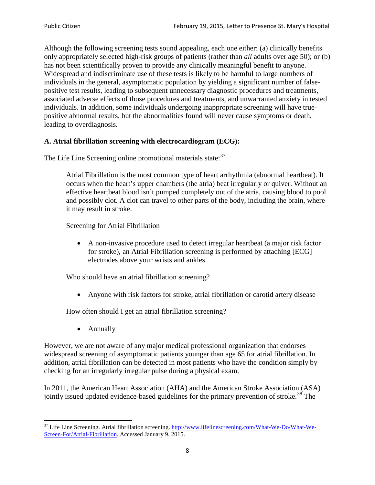Although the following screening tests sound appealing, each one either: (a) clinically benefits only appropriately selected high-risk groups of patients (rather than *all* adults over age 50); or (b) has not been scientifically proven to provide any clinically meaningful benefit to anyone. Widespread and indiscriminate use of these tests is likely to be harmful to large numbers of individuals in the general, asymptomatic population by yielding a significant number of falsepositive test results, leading to subsequent unnecessary diagnostic procedures and treatments, associated adverse effects of those procedures and treatments, and unwarranted anxiety in tested individuals. In addition, some individuals undergoing inappropriate screening will have truepositive abnormal results, but the abnormalities found will never cause symptoms or death, leading to overdiagnosis.

# **A. Atrial fibrillation screening with electrocardiogram (ECG):**

The Life Line Screening online promotional materials state:<sup>[37](#page-7-0)</sup>

Atrial Fibrillation is the most common type of heart arrhythmia (abnormal heartbeat). It occurs when the heart's upper chambers (the atria) beat irregularly or quiver. Without an effective heartbeat blood isn't pumped completely out of the atria, causing blood to pool and possibly clot. A clot can travel to other parts of the body, including the brain, where it may result in stroke.

Screening for Atrial Fibrillation

• A non-invasive procedure used to detect irregular heartbeat (a major risk factor for stroke), an Atrial Fibrillation screening is performed by attaching [ECG] electrodes above your wrists and ankles.

Who should have an atrial fibrillation screening?

• Anyone with risk factors for stroke, atrial fibrillation or carotid artery disease

How often should I get an atrial fibrillation screening?

• Annually

<span id="page-7-1"></span>However, we are not aware of any major medical professional organization that endorses widespread screening of asymptomatic patients younger than age 65 for atrial fibrillation. In addition, atrial fibrillation can be detected in most patients who have the condition simply by checking for an irregularly irregular pulse during a physical exam.

In 2011, the American Heart Association (AHA) and the American Stroke Association (ASA) jointly issued updated evidence-based guidelines for the primary prevention of stroke.<sup>[38](#page-7-1)</sup> The

<span id="page-7-0"></span><sup>&</sup>lt;sup>37</sup> Life Line Screening. Atrial fibrillation screening. [http://www.lifelinescreening.com/What-We-Do/What-We-](http://www.lifelinescreening.com/What-We-Do/What-We-Screen-For/Atrial-Fibrillation)[Screen-For/Atrial-Fibrillation.](http://www.lifelinescreening.com/What-We-Do/What-We-Screen-For/Atrial-Fibrillation) Accessed January 9, 2015.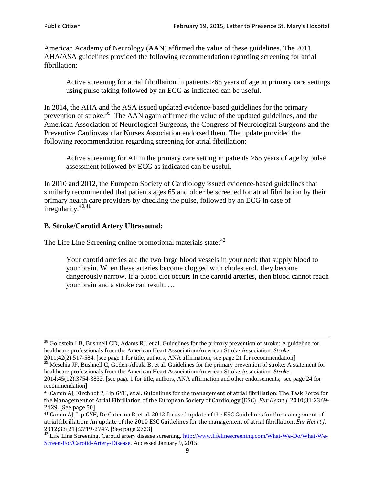American Academy of Neurology (AAN) affirmed the value of these guidelines. The 2011 AHA/ASA guidelines provided the following recommendation regarding screening for atrial fibrillation:

Active screening for atrial fibrillation in patients >65 years of age in primary care settings using pulse taking followed by an ECG as indicated can be useful.

In 2014, the AHA and the ASA issued updated evidence-based guidelines for the primary prevention of stroke.<sup>[39](#page-8-0)</sup> The AAN again affirmed the value of the updated guidelines, and the American Association of Neurological Surgeons, the Congress of Neurological Surgeons and the Preventive Cardiovascular Nurses Association endorsed them. The update provided the following recommendation regarding screening for atrial fibrillation:

Active screening for AF in the primary care setting in patients >65 years of age by pulse assessment followed by ECG as indicated can be useful.

In 2010 and 2012, the European Society of Cardiology issued evidence-based guidelines that similarly recommended that patients ages 65 and older be screened for atrial fibrillation by their primary health care providers by checking the pulse, followed by an ECG in case of irregularity. $40,41$  $40,41$ 

# **B. Stroke/Carotid Artery Ultrasound:**

The Life Line Screening online promotional materials state:<sup>[42](#page-8-3)</sup>

Your carotid arteries are the two large blood vessels in your neck that supply blood to your brain. When these arteries become clogged with cholesterol, they become dangerously narrow. If a blood clot occurs in the carotid arteries, then blood cannot reach your brain and a stroke can result. …

<sup>&</sup>lt;sup>38</sup> Goldstein LB, Bushnell CD, Adams RJ, et al. Guidelines for the primary prevention of stroke: A guideline for healthcare professionals from the American Heart Association/American Stroke Association. *Stroke*.

<sup>2011;42(2):517-584.</sup> [see page 1 for title, authors, ANA affirmation; see page 21 for recommendation]

<span id="page-8-0"></span> $\frac{2011,42(2)(317,601)}{39}$  Meschia JF, Bushnell C, Goden-Albala B, et al. Guidelines for the primary prevention of stroke: A statement for healthcare professionals from the American Heart Association/American Stroke Association. *Stroke*.

<sup>2014;45(12):3754-3832.</sup> [see page 1 for title, authors, ANA affirmation and other endorsements; see page 24 for recommendation]

<span id="page-8-1"></span><sup>40</sup> Camm AJ, Kirchhof P, Lip GYH, et al. Guidelines for the management of atrial fibrillation: The Task Force for the Management of Atrial Fibrillation of the European Society of Cardiology (ESC). *Eur Heart J*. 2010;31:2369- 2429. [See page 50]

<span id="page-8-2"></span><sup>41</sup> Camm AJ, Lip GYH, De Caterina R, et al. 2012 focused update of the ESC Guidelines for the management of atrial fibrillation: An update of the 2010 ESC Guidelines for the management of atrial fibrillation. *Eur Heart J*.

<span id="page-8-3"></span><sup>&</sup>lt;sup>2012</sup>;23(21):2719-2747. [See page 273] 42 Life Line Screening. [http://www.lifelinescreening.com/What-We-Do/What-We-](http://www.lifelinescreening.com/What-We-Do/What-We-Screen-For/Carotid-Artery-Disease)[Screen-For/Carotid-Artery-Disease.](http://www.lifelinescreening.com/What-We-Do/What-We-Screen-For/Carotid-Artery-Disease) Accessed January 9, 2015.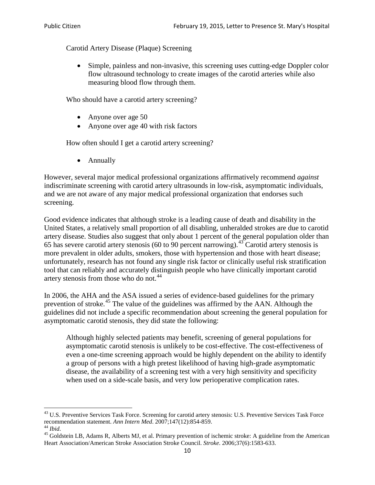Carotid Artery Disease (Plaque) Screening

• Simple, painless and non-invasive, this screening uses cutting-edge Doppler color flow ultrasound technology to create images of the carotid arteries while also measuring blood flow through them.

Who should have a carotid artery screening?

- Anyone over age 50
- Anyone over age 40 with risk factors

How often should I get a carotid artery screening?

• Annually

However, several major medical professional organizations affirmatively recommend *against* indiscriminate screening with carotid artery ultrasounds in low-risk, asymptomatic individuals, and we are not aware of any major medical professional organization that endorses such screening.

Good evidence indicates that although stroke is a leading cause of death and disability in the United States, a relatively small proportion of all disabling, unheralded strokes are due to carotid artery disease. Studies also suggest that only about 1 percent of the general population older than 65 has severe carotid artery stenosis (60 to 90 percent narrowing).<sup>[43](#page-9-0)</sup> Carotid artery stenosis is more prevalent in older adults, smokers, those with hypertension and those with heart disease; unfortunately, research has not found any single risk factor or clinically useful risk stratification tool that can reliably and accurately distinguish people who have clinically important carotid artery stenosis from those who do not.<sup>[44](#page-9-1)</sup>

In 2006, the AHA and the ASA issued a series of evidence-based guidelines for the primary prevention of stroke.<sup>[45](#page-9-2)</sup> The value of the guidelines was affirmed by the AAN. Although the guidelines did not include a specific recommendation about screening the general population for asymptomatic carotid stenosis, they did state the following:

Although highly selected patients may benefit, screening of general populations for asymptomatic carotid stenosis is unlikely to be cost-effective. The cost-effectiveness of even a one-time screening approach would be highly dependent on the ability to identify a group of persons with a high pretest likelihood of having high-grade asymptomatic disease, the availability of a screening test with a very high sensitivity and specificity when used on a side-scale basis, and very low perioperative complication rates.

<span id="page-9-0"></span> $^{43}$  U.S. Preventive Services Task Force. Screening for carotid artery stenosis: U.S. Preventive Services Task Force recommendation statement. Ann Intern Med. 2007;147(12):854-859.

<span id="page-9-2"></span><span id="page-9-1"></span><sup>&</sup>lt;sup>44</sup> *Ibid*. <sup>45</sup> Goldstein LB, Adams R, Alberts MJ, et al. Primary prevention of ischemic stroke: A guideline from the American <sup>45</sup> Goldstein LB, Adams R, Alberts MJ, et al. Primary prevention of ischemic stroke: A guide Heart Association/American Stroke Association Stroke Council. *Stroke*. 2006;37(6):1583-633.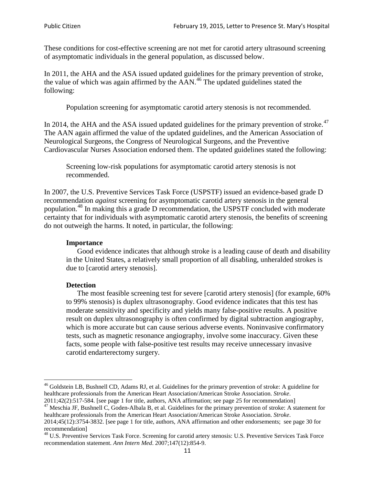These conditions for cost-effective screening are not met for carotid artery ultrasound screening of asymptomatic individuals in the general population, as discussed below.

In 2011, the AHA and the ASA issued updated guidelines for the primary prevention of stroke, the value of which was again affirmed by the  $AAN<sup>46</sup>$  $AAN<sup>46</sup>$  $AAN<sup>46</sup>$ . The updated guidelines stated the following:

Population screening for asymptomatic carotid artery stenosis is not recommended.

In 2014, the AHA and the ASA issued updated guidelines for the primary prevention of stroke.<sup>47</sup> The AAN again affirmed the value of the updated guidelines, and the American Association of Neurological Surgeons, the Congress of Neurological Surgeons, and the Preventive Cardiovascular Nurses Association endorsed them. The updated guidelines stated the following:

Screening low-risk populations for asymptomatic carotid artery stenosis is not recommended.

In 2007, the U.S. Preventive Services Task Force (USPSTF) issued an evidence-based grade D recommendation *against* screening for asymptomatic carotid artery stenosis in the general population.[48](#page-10-2) In making this a grade D recommendation, the USPSTF concluded with moderate certainty that for individuals with asymptomatic carotid artery stenosis, the benefits of screening do not outweigh the harms. It noted, in particular, the following:

#### **Importance**

Good evidence indicates that although stroke is a leading cause of death and disability in the United States, a relatively small proportion of all disabling, unheralded strokes is due to [carotid artery stenosis].

#### **Detection**

The most feasible screening test for severe [carotid artery stenosis] (for example, 60% to 99% stenosis) is duplex ultrasonography. Good evidence indicates that this test has moderate sensitivity and specificity and yields many false-positive results. A positive result on duplex ultrasonography is often confirmed by digital subtraction angiography, which is more accurate but can cause serious adverse events. Noninvasive confirmatory tests, such as magnetic resonance angiography, involve some inaccuracy. Given these facts, some people with false-positive test results may receive unnecessary invasive carotid endarterectomy surgery.

<span id="page-10-0"></span><sup>&</sup>lt;sup>46</sup> Goldstein LB, Bushnell CD, Adams RJ, et al. Guidelines for the primary prevention of stroke: A guideline for healthcare professionals from the American Heart Association/American Stroke Association. *Stroke*.<br>2011;42(2):517-584. [see page 1 for title, authors, ANA affirmation; see page 25 for recommendation]

<span id="page-10-1"></span><sup>&</sup>lt;sup>47</sup> Meschia JF, Bushnell C, Goden-Albala B, et al. Guidelines for the primary prevention of stroke: A statement for healthcare professionals from the American Heart Association/American Stroke Association. *Stroke*. 2014;45(12):3754-3832. [see page 1 for title, authors, ANA affirmation and other endorsements; see page 30 for

recommendation]

<span id="page-10-2"></span><sup>&</sup>lt;sup>48</sup> U.S. Preventive Services Task Force. Screening for carotid artery stenosis: U.S. Preventive Services Task Force recommendation statement. *Ann Intern Med*. 2007;147(12):854-9.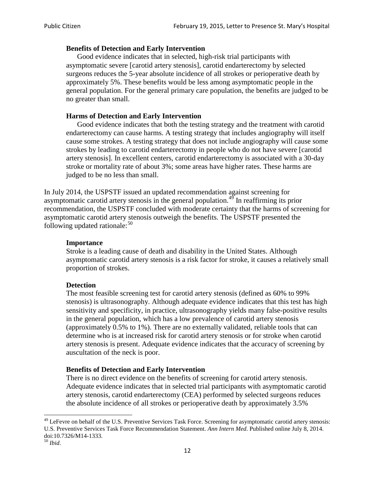### **Benefits of Detection and Early Intervention**

Good evidence indicates that in selected, high-risk trial participants with asymptomatic severe [carotid artery stenosis], carotid endarterectomy by selected surgeons reduces the 5-year absolute incidence of all strokes or perioperative death by approximately 5%. These benefits would be less among asymptomatic people in the general population. For the general primary care population, the benefits are judged to be no greater than small.

### **Harms of Detection and Early Intervention**

Good evidence indicates that both the testing strategy and the treatment with carotid endarterectomy can cause harms. A testing strategy that includes angiography will itself cause some strokes. A testing strategy that does not include angiography will cause some strokes by leading to carotid endarterectomy in people who do not have severe [carotid artery stenosis]. In excellent centers, carotid endarterectomy is associated with a 30-day stroke or mortality rate of about 3%; some areas have higher rates. These harms are judged to be no less than small.

In July 2014, the USPSTF issued an updated recommendation against screening for asymptomatic carotid artery stenosis in the general population.<sup>[49](#page-11-0)</sup> In reaffirming its prior recommendation, the USPSTF concluded with moderate certainty that the harms of screening for asymptomatic carotid artery stenosis outweigh the benefits. The USPSTF presented the following updated rationale: $50$ 

#### **Importance**

Stroke is a leading cause of death and disability in the United States. Although asymptomatic carotid artery stenosis is a risk factor for stroke, it causes a relatively small proportion of strokes.

#### **Detection**

The most feasible screening test for carotid artery stenosis (defined as 60% to 99% stenosis) is ultrasonography. Although adequate evidence indicates that this test has high sensitivity and specificity, in practice, ultrasonography yields many false-positive results in the general population, which has a low prevalence of carotid artery stenosis (approximately 0.5% to 1%). There are no externally validated, reliable tools that can determine who is at increased risk for carotid artery stenosis or for stroke when carotid artery stenosis is present. Adequate evidence indicates that the accuracy of screening by auscultation of the neck is poor.

## **Benefits of Detection and Early Intervention**

There is no direct evidence on the benefits of screening for carotid artery stenosis. Adequate evidence indicates that in selected trial participants with asymptomatic carotid artery stenosis, carotid endarterectomy (CEA) performed by selected surgeons reduces the absolute incidence of all strokes or perioperative death by approximately 3.5%

<span id="page-11-0"></span><sup>&</sup>lt;sup>49</sup> LeFevre on behalf of the U.S. Preventive Services Task Force. Screening for asymptomatic carotid artery stenosis: U.S. Preventive Services Task Force Recommendation Statement. *Ann Intern Med*. Published online July 8, 2014. doi:10.7326/M14-1333. <sup>50</sup> *Ibid*.

<span id="page-11-1"></span>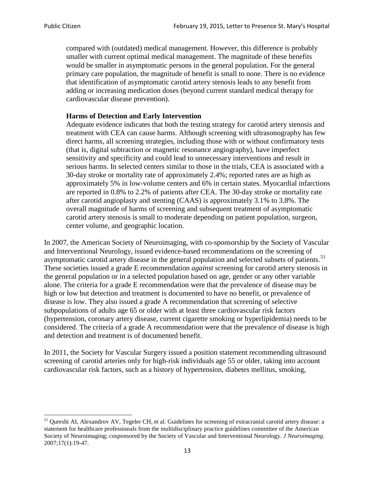compared with (outdated) medical management. However, this difference is probably smaller with current optimal medical management. The magnitude of these benefits would be smaller in asymptomatic persons in the general population. For the general primary care population, the magnitude of benefit is small to none. There is no evidence that identification of asymptomatic carotid artery stenosis leads to any benefit from adding or increasing medication doses (beyond current standard medical therapy for cardiovascular disease prevention).

#### **Harms of Detection and Early Intervention**

Adequate evidence indicates that both the testing strategy for carotid artery stenosis and treatment with CEA can cause harms. Although screening with ultrasonography has few direct harms, all screening strategies, including those with or without confirmatory tests (that is, digital subtraction or magnetic resonance angiography), have imperfect sensitivity and specificity and could lead to unnecessary interventions and result in serious harms. In selected centers similar to those in the trials, CEA is associated with a 30-day stroke or mortality rate of approximately 2.4%; reported rates are as high as approximately 5% in low-volume centers and 6% in certain states. Myocardial infarctions are reported in 0.8% to 2.2% of patients after CEA. The 30-day stroke or mortality rate after carotid angioplasty and stenting (CAAS) is approximately 3.1% to 3.8%. The overall magnitude of harms of screening and subsequent treatment of asymptomatic carotid artery stenosis is small to moderate depending on patient population, surgeon, center volume, and geographic location.

In 2007, the American Society of Neuroimaging, with co-sponsorship by the Society of Vascular and Interventional Neurology, issued evidence-based recommendations on the screening of asymptomatic carotid artery disease in the general population and selected subsets of patients.<sup>[51](#page-12-0)</sup> These societies issued a grade E recommendation *against* screening for carotid artery stenosis in the general population or in a selected population based on age, gender or any other variable alone. The criteria for a grade E recommendation were that the prevalence of disease may be high or low but detection and treatment is documented to have no benefit, or prevalence of disease is low. They also issued a grade A recommendation that screening of selective subpopulations of adults age 65 or older with at least three cardiovascular risk factors (hypertension, coronary artery disease, current cigarette smoking or hyperlipidemia) needs to be considered. The criteria of a grade A recommendation were that the prevalence of disease is high and detection and treatment is of documented benefit.

In 2011, the Society for Vascular Surgery issued a position statement recommending ultrasound screening of carotid arteries only for high-risk individuals age 55 or older, taking into account cardiovascular risk factors, such as a history of hypertension, diabetes mellitus, smoking,

<span id="page-12-0"></span><sup>&</sup>lt;sup>51</sup> Qureshi AI, Alexandrov AV, Tegeler CH, et al. Guidelines for screening of extracranial carotid artery disease: a statement for healthcare professionals from the multidisciplinary practice guidelines committee of the American Society of Neuroimaging; cosponsored by the Society of Vascular and Interventional Neurology. *J Neuroimaging*. 2007;17(1):19-47.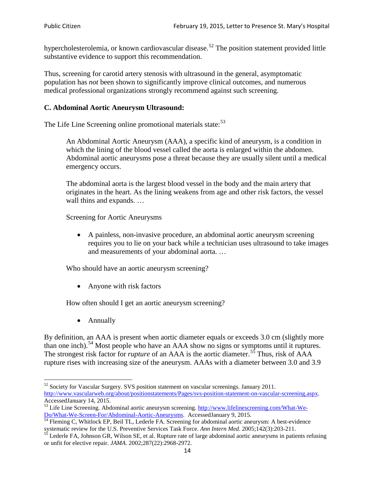hypercholesterolemia, or known cardiovascular disease.<sup>[52](#page-13-0)</sup> The position statement provided little substantive evidence to support this recommendation.

Thus, screening for carotid artery stenosis with ultrasound in the general, asymptomatic population has *not* been shown to significantly improve clinical outcomes, and numerous medical professional organizations strongly recommend against such screening.

#### **C. Abdominal Aortic Aneurysm Ultrasound:**

The Life Line Screening online promotional materials state:<sup>[53](#page-13-1)</sup>

An Abdominal Aortic Aneurysm (AAA), a specific kind of aneurysm, is a condition in which the lining of the blood vessel called the aorta is enlarged within the abdomen. Abdominal aortic aneurysms pose a threat because they are usually silent until a medical emergency occurs.

The abdominal aorta is the largest blood vessel in the body and the main artery that originates in the heart. As the lining weakens from age and other risk factors, the vessel wall thins and expands. …

Screening for Aortic Aneurysms

• A painless, non-invasive procedure, an abdominal aortic aneurysm screening requires you to lie on your back while a technician uses ultrasound to take images and measurements of your abdominal aorta. …

Who should have an aortic aneurysm screening?

• Anyone with risk factors

How often should I get an aortic aneurysm screening?

• Annually

By definition, an AAA is present when aortic diameter equals or exceeds 3.0 cm (slightly more than one inch).<sup>[54](#page-13-2)</sup> Most people who have an AAA show no signs or symptoms until it ruptures. The strongest risk factor for *rupture* of an AAA is the aortic diameter.<sup>[55](#page-13-3)</sup> Thus, risk of AAA rupture rises with increasing size of the aneurysm. AAAs with a diameter between 3.0 and 3.9

<span id="page-13-0"></span> $52$  Society for Vascular Surgery. SVS position statement on vascular screenings. January 2011. http://www.vascularweb.org/about/positionstatements/Pages/svs-position-statement-on-vascular-screening.aspx.<br>Accessed January 14, 2015.

<span id="page-13-1"></span>Accessed Line Screening. Abdominal aortic aneurysm screening. http://www.lifelinescreening.com/What-We-<br>Do/What-We-Screen-For/Abdominal-Aortic-Aneurysms. Accessed January 9, 2015.

<span id="page-13-2"></span> $\frac{1}{54}$  Fleming C, Whitlock EP, Beil TL, Lederle FA. Screening for abdominal aortic aneurysm: A best-evidence systematic review for the U.S. Preventive Services Task Force. *Ann Intern Med.* 2005;142(3):203-211.<br><sup>55</sup> Lederle FA, Johnson GR, Wilson SE, et al. Rupture rate of large abdominal aortic aneurysms in patients refusing

<span id="page-13-3"></span>or unfit for elective repair. *JAMA*. 2002;287(22):2968-2972.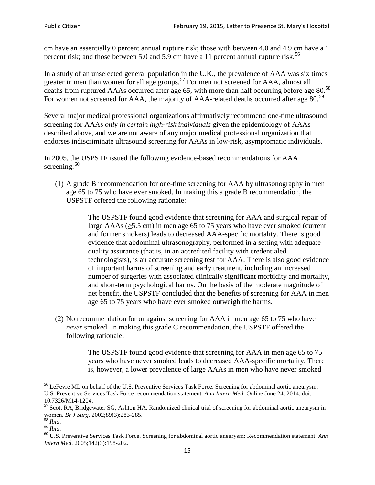cm have an essentially 0 percent annual rupture risk; those with between 4.0 and 4.9 cm have a 1 percent risk; and those between 5.0 and 5.9 cm have a 11 percent annual rupture risk.<sup>[56](#page-14-0)</sup>

In a study of an unselected general population in the U.K., the prevalence of AAA was six times greater in men than women for all age groups.<sup>[57](#page-14-1)</sup> For men not screened for  $AAA$ , almost all deaths from ruptured AAAs occurred after age 65, with more than half occurring before age 80.<sup>[58](#page-14-2)</sup> For women not screened for AAA, the majority of AAA-related deaths occurred after age 80.<sup>[59](#page-14-3)</sup>

Several major medical professional organizations affirmatively recommend one-time ultrasound screening for AAAs *only in certain high-risk individuals* given the epidemiology of AAAs described above, and we are not aware of any major medical professional organization that endorses indiscriminate ultrasound screening for AAAs in low-risk, asymptomatic individuals.

In 2005, the USPSTF issued the following evidence-based recommendations for AAA screening: $60$ 

(1) A grade B recommendation for one-time screening for AAA by ultrasonography in men age 65 to 75 who have ever smoked. In making this a grade [B recommendation,](http://www.uspreventiveservicestaskforce.org/uspstf/gradespre.htm#brec) the USPSTF offered the following rationale:

> The USPSTF found good evidence that screening for AAA and surgical repair of large AAAs ( $\geq$ 5.5 cm) in men age 65 to 75 years who have ever smoked (current and former smokers) leads to decreased AAA-specific mortality. There is good evidence that abdominal ultrasonography, performed in a setting with adequate quality assurance (that is, in an accredited facility with credentialed technologists), is an accurate screening test for AAA. There is also good evidence of important harms of screening and early treatment, including an increased number of surgeries with associated clinically significant morbidity and mortality, and short-term psychological harms. On the basis of the moderate magnitude of net benefit, the USPSTF concluded that the benefits of screening for AAA in men age 65 to 75 years who have ever smoked outweigh the harms.

(2) No recommendation for or against screening for AAA in men age 65 to 75 who have *never* smoked. In making this grade C recommendation, the USPSTF offered the following rationale:

> The USPSTF found good evidence that screening for AAA in men age 65 to 75 years who have never smoked leads to decreased AAA-specific mortality. There is, however, a lower prevalence of large AAAs in men who have never smoked

<span id="page-14-0"></span><sup>&</sup>lt;sup>56</sup> LeFevre ML on behalf of the U.S. Preventive Services Task Force. Screening for abdominal aortic aneurysm: U.S. Preventive Services Task Force recommendation statement. *Ann Intern Med*. Online June 24, 2014. doi:

<span id="page-14-1"></span><sup>10.7326/</sup>M14-1204.<br> $57$  Scott RA, Bridgewater SG, Ashton HA. Randomized clinical trial of screening for abdominal aortic aneurysm in women. *Br J Surg.* 2002;89(3):283-285.

<span id="page-14-4"></span><span id="page-14-3"></span>

<span id="page-14-2"></span><sup>&</sup>lt;sup>58</sup> *Ibid.*<br><sup>59</sup> *Ibid.* 2002;<br><sup>60</sup> U.S. Preventive Services Task Force. Screening for abdominal aortic aneurysm: Recommendation statement. *Ann Intern Med*. 2005;142(3):198-202.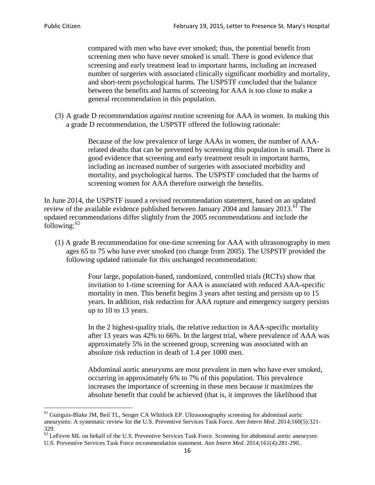compared with men who have ever smoked; thus, the potential benefit from screening men who have never smoked is small. There is good evidence that screening and early treatment lead to important harms, including an increased number of surgeries with associated clinically significant morbidity and mortality, and short-term psychological harms. The USPSTF concluded that the balance between the benefits and harms of screening for AAA is too close to make a general recommendation in this population.

(3) A grade D recommendation *against* routine screening for AAA in women. In making this a grade D recommendation, the USPSTF offered the following rationale:

> Because of the low prevalence of large AAAs in women, the number of AAArelated deaths that can be prevented by screening this population is small. There is good evidence that screening and early treatment result in important harms, including an increased number of surgeries with associated morbidity and mortality, and psychological harms. The USPSTF concluded that the harms of screening women for AAA therefore outweigh the benefits.

In June 2014, the USPSTF issued a revised recommendation statement, based on an updated review of the available evidence published between January 2004 and January 2013.<sup>[61](#page-15-0)</sup> The updated recommendations differ slightly from the 2005 recommendations and include the following: $62$ 

(1) A grade B recommendation for one-time screening for AAA with ultrasonography in men ages 65 to 75 who have ever smoked (no change from 2005). The USPSTF provided the following updated rationale for this unchanged recommendation:

> Four large, population-based, randomized, controlled trials (RCTs) show that invitation to 1-time screening for AAA is associated with reduced AAA-specific mortality in men. This benefit begins 3 years after testing and persists up to 15 years. In addition, risk reduction for AAA rupture and emergency surgery persists up to 10 to 13 years.

> In the 2 highest-quality trials, the relative reduction in AAA-specific mortality after 13 years was 42% to 66%. In the largest trial, where prevalence of AAA was approximately 5% in the screened group, screening was associated with an absolute risk reduction in death of 1.4 per 1000 men.

Abdominal aortic aneurysms are most prevalent in men who have ever smoked, occurring in approximately 6% to 7% of this population. This prevalence increases the importance of screening in these men because it maximizes the absolute benefit that could be achieved (that is, it improves the likelihood that

<span id="page-15-0"></span><sup>61</sup> Guirguis-Blake JM, Beil TL, Senger CA Whitlock EP. Ultrasonography screening for abdominal aortic aneurysms: A systematic review for the U.S. Preventive Services Task Force. *Ann Intern Med*. 2014;160(5):321- 329.

<span id="page-15-1"></span> $62$  LeFevre ML on behalf of the U.S. Preventive Services Task Force. Screening for abdominal aortic aneurysm: U.S. Preventive Services Task Force recommendation statement. *Ann Intern Med*. 2014;161(4):281-290..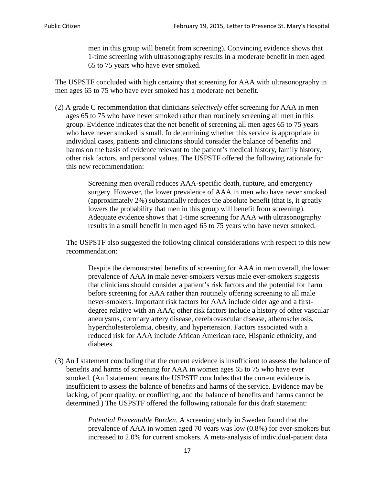men in this group will benefit from screening). Convincing evidence shows that 1-time screening with ultrasonography results in a moderate benefit in men aged 65 to 75 years who have ever smoked.

The USPSTF concluded with high certainty that screening for AAA with ultrasonography in men ages 65 to 75 who have ever smoked has a moderate net benefit.

(2) A grade C recommendation that clinicians *selectively* offer screening for AAA in men ages 65 to 75 who have never smoked rather than routinely screening all men in this group. Evidence indicates that the net benefit of screening all men ages 65 to 75 years who have never smoked is small. In determining whether this service is appropriate in individual cases, patients and clinicians should consider the balance of benefits and harms on the basis of evidence relevant to the patient's medical history, family history, other risk factors, and personal values. The USPSTF offered the following rationale for this new recommendation:

> Screening men overall reduces AAA-specific death, rupture, and emergency surgery. However, the lower prevalence of AAA in men who have never smoked (approximately 2%) substantially reduces the absolute benefit (that is, it greatly lowers the probability that men in this group will benefit from screening). Adequate evidence shows that 1-time screening for AAA with ultrasonography results in a small benefit in men aged 65 to 75 years who have never smoked.

The USPSTF also suggested the following clinical considerations with respect to this new recommendation:

Despite the demonstrated benefits of screening for AAA in men overall, the lower prevalence of AAA in male never-smokers versus male ever-smokers suggests that clinicians should consider a patient's risk factors and the potential for harm before screening for AAA rather than routinely offering screening to all male never-smokers. Important risk factors for AAA include older age and a firstdegree relative with an AAA; other risk factors include a history of other vascular aneurysms, coronary artery disease, cerebrovascular disease, atherosclerosis, hypercholesterolemia, obesity, and hypertension. Factors associated with a reduced risk for AAA include African American race, Hispanic ethnicity, and diabetes.

(3) An I statement concluding that the current evidence is insufficient to assess the balance of benefits and harms of screening for AAA in women ages 65 to 75 who have ever smoked. (An I statement means the USPSTF concludes that the current evidence is insufficient to assess the balance of benefits and harms of the service. Evidence may be lacking, of poor quality, or conflicting, and the balance of benefits and harms cannot be determined.) The USPSTF offered the following rationale for this draft statement:

> *Potential Preventable Burden.* A screening study in Sweden found that the prevalence of AAA in women aged 70 years was low (0.8%) for ever-smokers but increased to 2.0% for current smokers. A meta-analysis of individual-patient data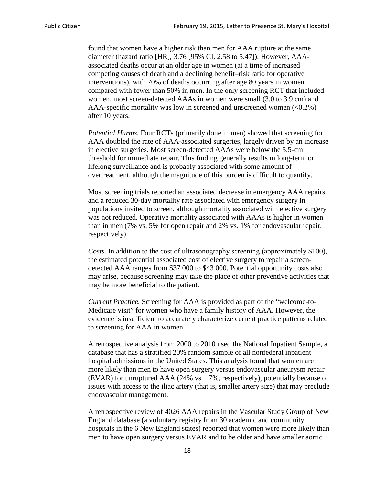found that women have a higher risk than men for AAA rupture at the same diameter (hazard ratio [HR], 3.76 [95% CI, 2.58 to 5.47]). However, AAAassociated deaths occur at an older age in women (at a time of increased competing causes of death and a declining benefit–risk ratio for operative interventions), with 70% of deaths occurring after age 80 years in women compared with fewer than 50% in men. In the only screening RCT that included women, most screen-detected AAAs in women were small (3.0 to 3.9 cm) and AAA-specific mortality was low in screened and unscreened women  $(<0.2\%)$ after 10 years.

*Potential Harms.* Four RCTs (primarily done in men) showed that screening for AAA doubled the rate of AAA-associated surgeries, largely driven by an increase in elective surgeries. Most screen-detected AAAs were below the 5.5-cm threshold for immediate repair. This finding generally results in long-term or lifelong surveillance and is probably associated with some amount of overtreatment, although the magnitude of this burden is difficult to quantify.

Most screening trials reported an associated decrease in emergency AAA repairs and a reduced 30-day mortality rate associated with emergency surgery in populations invited to screen, although mortality associated with elective surgery was not reduced. Operative mortality associated with AAAs is higher in women than in men (7% vs. 5% for open repair and 2% vs. 1% for endovascular repair, respectively).

*Costs.* In addition to the cost of ultrasonography screening (approximately \$100), the estimated potential associated cost of elective surgery to repair a screendetected AAA ranges from \$37 000 to \$43 000. Potential opportunity costs also may arise, because screening may take the place of other preventive activities that may be more beneficial to the patient.

*Current Practice.* Screening for AAA is provided as part of the "welcome-to-Medicare visit" for women who have a family history of AAA. However, the evidence is insufficient to accurately characterize current practice patterns related to screening for AAA in women.

A retrospective analysis from 2000 to 2010 used the National Inpatient Sample, a database that has a stratified 20% random sample of all nonfederal inpatient hospital admissions in the United States. This analysis found that women are more likely than men to have open surgery versus endovascular aneurysm repair (EVAR) for unruptured AAA (24% vs. 17%, respectively), potentially because of issues with access to the iliac artery (that is, smaller artery size) that may preclude endovascular management.

A retrospective review of 4026 AAA repairs in the Vascular Study Group of New England database (a voluntary registry from 30 academic and community hospitals in the 6 New England states) reported that women were more likely than men to have open surgery versus EVAR and to be older and have smaller aortic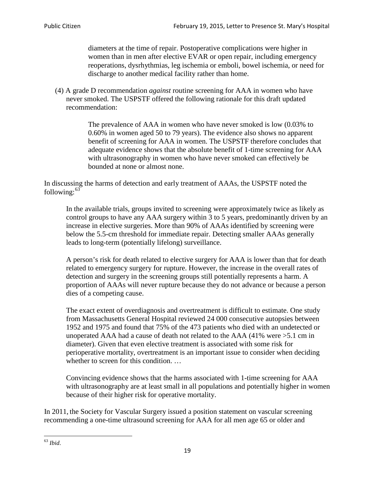diameters at the time of repair. Postoperative complications were higher in women than in men after elective EVAR or open repair, including emergency reoperations, dysrhythmias, leg ischemia or emboli, bowel ischemia, or need for discharge to another medical facility rather than home.

(4) A grade D recommendation *against* routine screening for AAA in women who have never smoked. The USPSTF offered the following rationale for this draft updated recommendation:

> The prevalence of AAA in women who have never smoked is low (0.03% to 0.60% in women aged 50 to 79 years). The evidence also shows no apparent benefit of screening for AAA in women. The USPSTF therefore concludes that adequate evidence shows that the absolute benefit of 1-time screening for AAA with ultrasonography in women who have never smoked can effectively be bounded at none or almost none.

In discussing the harms of detection and early treatment of AAAs, the USPSTF noted the following: $63$ 

In the available trials, groups invited to screening were approximately twice as likely as control groups to have any AAA surgery within 3 to 5 years, predominantly driven by an increase in elective surgeries. More than 90% of AAAs identified by screening were below the 5.5-cm threshold for immediate repair. Detecting smaller AAAs generally leads to long-term (potentially lifelong) surveillance.

A person's risk for death related to elective surgery for AAA is lower than that for death related to emergency surgery for rupture. However, the increase in the overall rates of detection and surgery in the screening groups still potentially represents a harm. A proportion of AAAs will never rupture because they do not advance or because a person dies of a competing cause.

The exact extent of overdiagnosis and overtreatment is difficult to estimate. One study from Massachusetts General Hospital reviewed 24 000 consecutive autopsies between 1952 and 1975 and found that 75% of the 473 patients who died with an undetected or unoperated AAA had a cause of death not related to the AAA (41% were >5.1 cm in diameter). Given that even elective treatment is associated with some risk for perioperative mortality, overtreatment is an important issue to consider when deciding whether to screen for this condition....

Convincing evidence shows that the harms associated with 1-time screening for AAA with ultrasonography are at least small in all populations and potentially higher in women because of their higher risk for operative mortality.

In 2011, the Society for Vascular Surgery issued a position statement on vascular screening recommending a one-time ultrasound screening for AAA for all men age 65 or older and

<span id="page-18-0"></span><sup>63</sup> *Ibid*.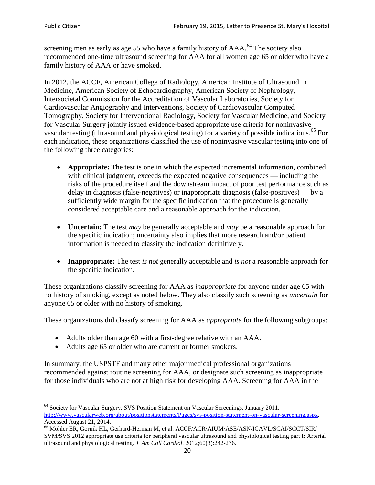screening men as early as age 55 who have a family history of AAA.<sup>[64](#page-19-0)</sup> The society also recommended one-time ultrasound screening for AAA for all women age 65 or older who have a family history of AAA or have smoked.

In 2012, the ACCF, American College of Radiology, American Institute of Ultrasound in Medicine, American Society of Echocardiography, American Society of Nephrology, Intersocietal Commission for the Accreditation of Vascular Laboratories, Society for Cardiovascular Angiography and Interventions, Society of Cardiovascular Computed Tomography, Society for Interventional Radiology, Society for Vascular Medicine, and Society for Vascular Surgery jointly issued evidence-based appropriate use criteria for noninvasive vascular testing (ultrasound and physiological testing) for a variety of possible indications.<sup>[65](#page-19-1)</sup> For each indication, these organizations classified the use of noninvasive vascular testing into one of the following three categories:

- **Appropriate:** The test is one in which the expected incremental information, combined with clinical judgment, exceeds the expected negative consequences — including the risks of the procedure itself and the downstream impact of poor test performance such as delay in diagnosis (false-negatives) or inappropriate diagnosis (false-positives) — by a sufficiently wide margin for the specific indication that the procedure is generally considered acceptable care and a reasonable approach for the indication.
- **Uncertain:** The test *may* be generally acceptable and *may* be a reasonable approach for the specific indication; uncertainty also implies that more research and/or patient information is needed to classify the indication definitively.
- **Inappropriate:** The test *is not* generally acceptable and *is not* a reasonable approach for the specific indication.

These organizations classify screening for AAA as *inappropriate* for anyone under age 65 with no history of smoking, except as noted below. They also classify such screening as *uncertain* for anyone 65 or older with no history of smoking.

These organizations did classify screening for AAA as *appropriate* for the following subgroups:

- Adults older than age 60 with a first-degree relative with an AAA.
- Adults age 65 or older who are current or former smokers.

In summary, the USPSTF and many other major medical professional organizations recommended against routine screening for AAA, or designate such screening as inappropriate for those individuals who are not at high risk for developing AAA. Screening for AAA in the

<span id="page-19-0"></span><sup>64</sup> Society for Vascular Surgery. SVS Position Statement on Vascular Screenings. January 2011. [http://www.vascularweb.org/about/positionstatements/Pages/svs-position-statement-on-vascular-screening.aspx.](http://www.vascularweb.org/about/positionstatements/Pages/svs-position-statement-on-vascular-screening.aspx) 

<span id="page-19-1"></span>Accessed August 21, 2014.<br><sup>65</sup> Mohler ER, Gornik HL, Gerhard-Herman M, et al. ACCF/ACR/AIUM/ASE/ASN/ICAVL/SCAI/SCCT/SIR/ SVM/SVS 2012 appropriate use criteria for peripheral vascular ultrasound and physiological testing part I: Arterial ultrasound and physiological testing*. J Am Coll Cardiol*. 2012;60(3):242-276.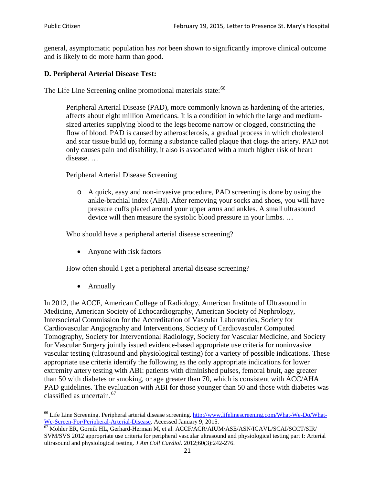general, asymptomatic population has *not* been shown to significantly improve clinical outcome and is likely to do more harm than good.

#### **D. Peripheral Arterial Disease Test:**

The Life Line Screening online promotional materials state:<sup>[66](#page-20-0)</sup>

Peripheral Arterial Disease (PAD), more commonly known as hardening of the arteries, affects about eight million Americans. It is a condition in which the large and mediumsized arteries supplying blood to the legs become narrow or clogged, constricting the flow of blood. PAD is caused by atherosclerosis, a gradual process in which cholesterol and scar tissue build up, forming a substance called plaque that clogs the artery. PAD not only causes pain and disability, it also is associated with a much higher risk of heart disease. …

Peripheral Arterial Disease Screening

o A quick, easy and non-invasive procedure, PAD screening is done by using the ankle-brachial index (ABI). After removing your socks and shoes, you will have pressure cuffs placed around your upper arms and ankles. A small ultrasound device will then measure the systolic blood pressure in your limbs. …

Who should have a peripheral arterial disease screening?

• Anyone with risk factors

How often should I get a peripheral arterial disease screening?

• Annually

In 2012, the ACCF, American College of Radiology, American Institute of Ultrasound in Medicine, American Society of Echocardiography, American Society of Nephrology, Intersocietal Commission for the Accreditation of Vascular Laboratories, Society for Cardiovascular Angiography and Interventions, Society of Cardiovascular Computed Tomography, Society for Interventional Radiology, Society for Vascular Medicine, and Society for Vascular Surgery jointly issued evidence-based appropriate use criteria for noninvasive vascular testing (ultrasound and physiological testing) for a variety of possible indications. These appropriate use criteria identify the following as the only appropriate indications for lower extremity artery testing with ABI: patients with diminished pulses, femoral bruit, age greater than 50 with diabetes or smoking, or age greater than 70, which is consistent with ACC/AHA PAD guidelines. The evaluation with ABI for those younger than 50 and those with diabetes was classified as uncertain.<sup>[67](#page-20-1)</sup>

<span id="page-20-0"></span><sup>&</sup>lt;sup>66</sup> Life Line Screening. Peripheral arterial disease screening. [http://www.lifelinescreening.com/What-We-Do/What-](http://www.lifelinescreening.com/What-We-Do/What-We-Screen-For/Peripheral-Arterial-Disease)[We-Screen-For/Peripheral-Arterial-Disease.](http://www.lifelinescreening.com/What-We-Do/What-We-Screen-For/Peripheral-Arterial-Disease) Accessed January 9, 2015.<br><sup>67</sup> Mohler ER, Gornik HL, Gerhard-Herman M, et al. ACCF/ACR/AIUM/ASE/ASN/ICAVL/SCAI/SCCT/SIR/

<span id="page-20-1"></span>SVM/SVS 2012 appropriate use criteria for peripheral vascular ultrasound and physiological testing part I: Arterial ultrasound and physiological testing. *J Am Coll Cardiol*. 2012;60(3):242-276.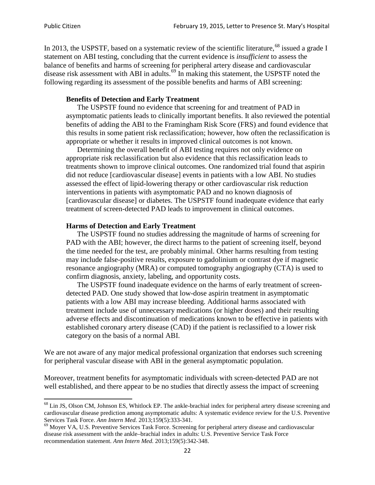In 2013, the USPSTF, based on a systematic review of the scientific literature,<sup>[68](#page-21-0)</sup> issued a grade I statement on ABI testing, concluding that the current evidence is *insufficient* to assess the balance of benefits and harms of screening for peripheral artery disease and cardiovascular disease risk assessment with ABI in adults.<sup>[69](#page-21-1)</sup> In making this statement, the USPSTF noted the following regarding its assessment of the possible benefits and harms of ABI screening:

#### **Benefits of Detection and Early Treatment**

The USPSTF found no evidence that screening for and treatment of PAD in asymptomatic patients leads to clinically important benefits. It also reviewed the potential benefits of adding the ABI to the Framingham Risk Score (FRS) and found evidence that this results in some patient risk reclassification; however, how often the reclassification is appropriate or whether it results in improved clinical outcomes is not known.

Determining the overall benefit of ABI testing requires not only evidence on appropriate risk reclassification but also evidence that this reclassification leads to treatments shown to improve clinical outcomes. One randomized trial found that aspirin did not reduce [cardiovascular disease] events in patients with a low ABI. No studies assessed the effect of lipid-lowering therapy or other cardiovascular risk reduction interventions in patients with asymptomatic PAD and no known diagnosis of [cardiovascular disease] or diabetes. The USPSTF found inadequate evidence that early treatment of screen-detected PAD leads to improvement in clinical outcomes.

#### **Harms of Detection and Early Treatment**

The USPSTF found no studies addressing the magnitude of harms of screening for PAD with the ABI; however, the direct harms to the patient of screening itself, beyond the time needed for the test, are probably minimal. Other harms resulting from testing may include false-positive results, exposure to gadolinium or contrast dye if magnetic resonance angiography (MRA) or computed tomography angiography (CTA) is used to confirm diagnosis, anxiety, labeling, and opportunity costs.

The USPSTF found inadequate evidence on the harms of early treatment of screendetected PAD. One study showed that low-dose aspirin treatment in asymptomatic patients with a low ABI may increase bleeding. Additional harms associated with treatment include use of unnecessary medications (or higher doses) and their resulting adverse effects and discontinuation of medications known to be effective in patients with established coronary artery disease (CAD) if the patient is reclassified to a lower risk category on the basis of a normal ABI.

We are not aware of any major medical professional organization that endorses such screening for peripheral vascular disease with ABI in the general asymptomatic population.

Moreover, treatment benefits for asymptomatic individuals with screen-detected PAD are not well established, and there appear to be no studies that directly assess the impact of screening

<span id="page-21-0"></span><sup>&</sup>lt;sup>68</sup> Lin JS, Olson CM, Johnson ES, Whitlock EP. The ankle-brachial index for peripheral artery disease screening and cardiovascular disease prediction among asymptomatic adults: A systematic evidence review for the U.S. Preventive Services Task Force. *Ann Intern Med.* 2013;159(5):333-341.<br><sup>69</sup> Moyer VA, U.S. Preventive Services Task Force. Screening for peripheral artery disease and cardiovascular

<span id="page-21-1"></span>disease risk assessment with the ankle–brachial index in adults: U.S. Preventive Service Task Force recommendation statement. *Ann Intern Med.* 2013;159(5):342-348.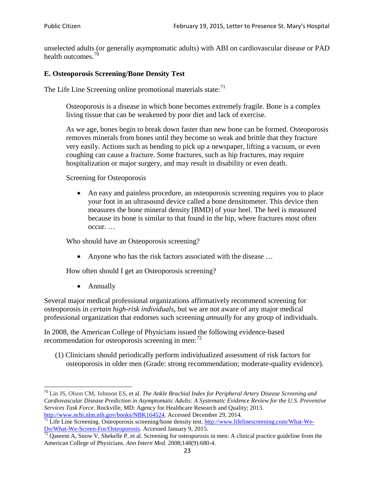unselected adults (or generally asymptomatic adults) with ABI on cardiovascular disease or PAD health outcomes.<sup>[70](#page-22-0)</sup>

### **E. Osteoporosis Screening/Bone Density Test**

The Life Line Screening online promotional materials state: $71$ 

Osteoporosis is a disease in which bone becomes extremely fragile. Bone is a complex living tissue that can be weakened by poor diet and lack of exercise.

As we age, bones begin to break down faster than new bone can be formed. Osteoporosis removes minerals from bones until they become so weak and brittle that they fracture very easily. Actions such as bending to pick up a newspaper, lifting a vacuum, or even coughing can cause a fracture. Some fractures, such as hip fractures, may require hospitalization or major surgery, and may result in disability or even death.

Screening for Osteoporosis

• An easy and painless procedure, an osteoporosis screening requires you to place your foot in an ultrasound device called a bone densitometer. This device then measures the bone mineral density [BMD] of your heel. The heel is measured because its bone is similar to that found in the hip, where fractures most often occur. …

Who should have an Osteoporosis screening?

• Anyone who has the risk factors associated with the disease ...

How often should I get an Osteoporosis screening?

• Annually

Several major medical professional organizations affirmatively recommend screening for osteoporosis in *certain high-risk individuals*, but we are not aware of any major medical professional organization that endorses such screening *annually* for any group of individuals.

In 2008, the American College of Physicians issued the following evidence-based recommendation for osteoporosis screening in men: $^{72}$  $^{72}$  $^{72}$ 

(1) Clinicians should periodically perform individualized assessment of risk factors for osteoporosis in older men (Grade: strong recommendation; moderate-quality evidence).

<span id="page-22-0"></span><sup>70</sup> [Lin JS,](http://www.ncbi.nlm.nih.gov/pubmed?term=Lin%20JS%5BAuthor%5D&cauthor=true&cauthor_uid=24156115) [Olson CM,](http://www.ncbi.nlm.nih.gov/pubmed?term=Olson%20CM%5BAuthor%5D&cauthor=true&cauthor_uid=24156115) [Johnson ES,](http://www.ncbi.nlm.nih.gov/pubmed?term=Johnson%20ES%5BAuthor%5D&cauthor=true&cauthor_uid=24156115) et al. *The Ankle Brachial Index for Peripheral Artery Disease Screening and Cardiovascular Disease Prediction in Asymptomatic Adults: A Systematic Evidence Review for the U.S. Preventive Services Task Force*. Rockville, MD: Agency for Healthcare Research and Quality; 2013.<br>http://www.ncbi.nlm.nih.gov/books/NBK164524. Accessed December 29, 2014.

<span id="page-22-1"></span> $\frac{1}{71}$  Life Line Screening. Osteoporosis screening/bone density test. [http://www.lifelinescreening.com/What-We-](http://www.lifelinescreening.com/What-We-Do/What-We-Screen-For/Osteoporosis) $\frac{Do/What-We-Screen-For/Osteoporosis}{72}$  Qaseem A, Snow V, Shekelle P, et al. Screening for osteoporosis in men: A clinical practice guideline from the

<span id="page-22-2"></span>American College of Physicians. *Ann Intern Med*. 2008;148(9):680-4.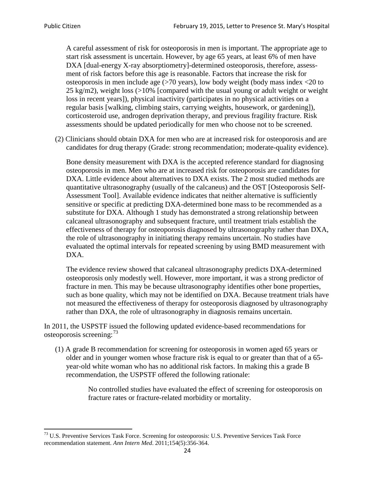A careful assessment of risk for osteoporosis in men is important. The appropriate age to start risk assessment is uncertain. However, by age 65 years, at least 6% of men have DXA [dual-energy X-ray absorptiometry]-determined osteoporosis, therefore, assessment of risk factors before this age is reasonable. Factors that increase the risk for osteoporosis in men include age (>70 years), low body weight (body mass index <20 to 25 kg/m2), weight loss (>10% [compared with the usual young or adult weight or weight loss in recent years]), physical inactivity (participates in no physical activities on a regular basis [walking, climbing stairs, carrying weights, housework, or gardening]), corticosteroid use, androgen deprivation therapy, and previous fragility fracture. Risk assessments should be updated periodically for men who choose not to be screened.

(2) Clinicians should obtain DXA for men who are at increased risk for osteoporosis and are candidates for drug therapy (Grade: strong recommendation; moderate-quality evidence).

Bone density measurement with DXA is the accepted reference standard for diagnosing osteoporosis in men. Men who are at increased risk for osteoporosis are candidates for DXA. Little evidence about alternatives to DXA exists. The 2 most studied methods are quantitative ultrasonography (usually of the calcaneus) and the OST [Osteoporosis Self-Assessment Tool]. Available evidence indicates that neither alternative is sufficiently sensitive or specific at predicting DXA-determined bone mass to be recommended as a substitute for DXA. Although 1 study has demonstrated a strong relationship between calcaneal ultrasonography and subsequent fracture, until treatment trials establish the effectiveness of therapy for osteoporosis diagnosed by ultrasonography rather than DXA, the role of ultrasonography in initiating therapy remains uncertain. No studies have evaluated the optimal intervals for repeated screening by using BMD measurement with DXA.

The evidence review showed that calcaneal ultrasonography predicts DXA-determined osteoporosis only modestly well. However, more important, it was a strong predictor of fracture in men. This may be because ultrasonography identifies other bone properties, such as bone quality, which may not be identified on DXA. Because treatment trials have not measured the effectiveness of therapy for osteoporosis diagnosed by ultrasonography rather than DXA, the role of ultrasonography in diagnosis remains uncertain.

In 2011, the USPSTF issued the following updated evidence-based recommendations for osteoporosis screening:<sup>[73](#page-23-0)</sup>

(1) A grade B recommendation for screening for osteoporosis in women aged 65 years or older and in younger women whose fracture risk is equal to or greater than that of a 65 year-old white woman who has no additional risk factors. In making this a grade B recommendation, the USPSTF offered the following rationale:

> No controlled studies have evaluated the effect of screening for osteoporosis on fracture rates or fracture-related morbidity or mortality.

<span id="page-23-0"></span><sup>&</sup>lt;sup>73</sup> U.S. Preventive Services Task Force. Screening for osteoporosis: U.S. Preventive Services Task Force recommendation statement. *Ann Intern Med*. 2011;154(5):356-364.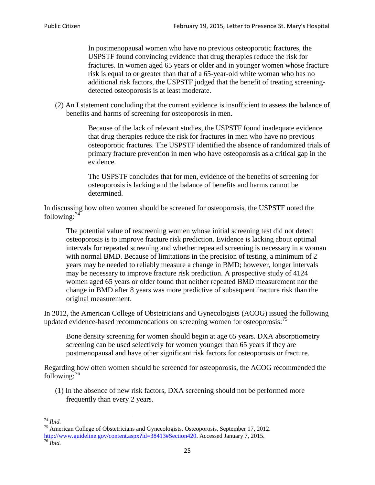In postmenopausal women who have no previous osteoporotic fractures, the USPSTF found convincing evidence that drug therapies reduce the risk for fractures. In women aged 65 years or older and in younger women whose fracture risk is equal to or greater than that of a 65-year-old white woman who has no additional risk factors, the USPSTF judged that the benefit of treating screeningdetected osteoporosis is at least moderate.

(2) An I statement concluding that the current evidence is insufficient to assess the balance of benefits and harms of screening for osteoporosis in men.

> Because of the lack of relevant studies, the USPSTF found inadequate evidence that drug therapies reduce the risk for fractures in men who have no previous osteoporotic fractures. The USPSTF identified the absence of randomized trials of primary fracture prevention in men who have osteoporosis as a critical gap in the evidence.

The USPSTF concludes that for men, evidence of the benefits of screening for osteoporosis is lacking and the balance of benefits and harms cannot be determined.

In discussing how often women should be screened for osteoporosis, the USPSTF noted the following: $74$ 

The potential value of rescreening women whose initial screening test did not detect osteoporosis is to improve fracture risk prediction. Evidence is lacking about optimal intervals for repeated screening and whether repeated screening is necessary in a woman with normal BMD. Because of limitations in the precision of testing, a minimum of 2 years may be needed to reliably measure a change in BMD; however, longer intervals may be necessary to improve fracture risk prediction. A prospective study of 4124 women aged 65 years or older found that neither repeated BMD measurement nor the change in BMD after 8 years was more predictive of subsequent fracture risk than the original measurement.

In 2012, the American College of Obstetricians and Gynecologists (ACOG) issued the following updated evidence-based recommendations on screening women for osteoporosis:<sup>[75](#page-24-1)</sup>

Bone density screening for women should begin at age 65 years. DXA absorptiometry screening can be used selectively for women younger than 65 years if they are postmenopausal and have other significant risk factors for osteoporosis or fracture.

Regarding how often women should be screened for osteoporosis, the ACOG recommended the following: $^{76}$  $^{76}$  $^{76}$ 

(1) In the absence of new risk factors, DXA screening should not be performed more frequently than every 2 years.

<span id="page-24-2"></span><span id="page-24-1"></span><span id="page-24-0"></span><sup>74</sup> *Ibid.* <sup>75</sup> American College of Obstetricians and Gynecologists. Osteoporosis. September 17, 2012. [http://www.guideline.gov/content.aspx?id=38413#Section420.](http://www.guideline.gov/content.aspx?id=38413#Section420) Accessed January 7, 2015.<br><sup>76</sup> *Ibid.*